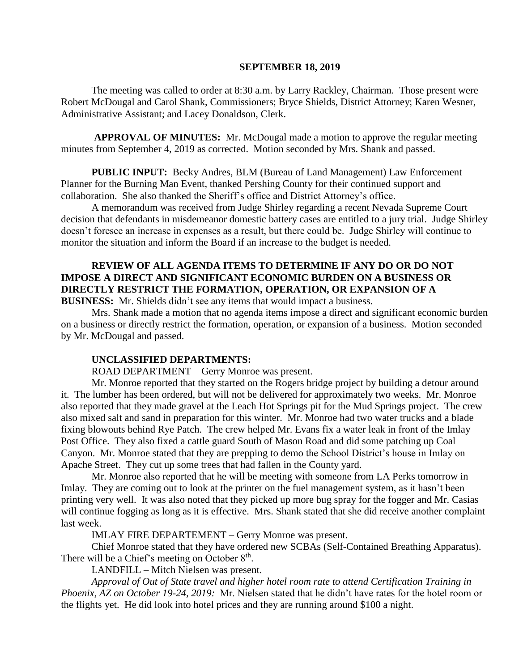### **SEPTEMBER 18, 2019**

The meeting was called to order at 8:30 a.m. by Larry Rackley, Chairman. Those present were Robert McDougal and Carol Shank, Commissioners; Bryce Shields, District Attorney; Karen Wesner, Administrative Assistant; and Lacey Donaldson, Clerk.

**APPROVAL OF MINUTES:** Mr. McDougal made a motion to approve the regular meeting minutes from September 4, 2019 as corrected. Motion seconded by Mrs. Shank and passed.

 **PUBLIC INPUT:** Becky Andres, BLM (Bureau of Land Management) Law Enforcement Planner for the Burning Man Event, thanked Pershing County for their continued support and collaboration. She also thanked the Sheriff's office and District Attorney's office.

A memorandum was received from Judge Shirley regarding a recent Nevada Supreme Court decision that defendants in misdemeanor domestic battery cases are entitled to a jury trial. Judge Shirley doesn't foresee an increase in expenses as a result, but there could be. Judge Shirley will continue to monitor the situation and inform the Board if an increase to the budget is needed.

## **REVIEW OF ALL AGENDA ITEMS TO DETERMINE IF ANY DO OR DO NOT IMPOSE A DIRECT AND SIGNIFICANT ECONOMIC BURDEN ON A BUSINESS OR DIRECTLY RESTRICT THE FORMATION, OPERATION, OR EXPANSION OF A BUSINESS:** Mr. Shields didn't see any items that would impact a business.

Mrs. Shank made a motion that no agenda items impose a direct and significant economic burden on a business or directly restrict the formation, operation, or expansion of a business. Motion seconded by Mr. McDougal and passed.

## **UNCLASSIFIED DEPARTMENTS:**

ROAD DEPARTMENT – Gerry Monroe was present.

Mr. Monroe reported that they started on the Rogers bridge project by building a detour around it. The lumber has been ordered, but will not be delivered for approximately two weeks. Mr. Monroe also reported that they made gravel at the Leach Hot Springs pit for the Mud Springs project. The crew also mixed salt and sand in preparation for this winter. Mr. Monroe had two water trucks and a blade fixing blowouts behind Rye Patch. The crew helped Mr. Evans fix a water leak in front of the Imlay Post Office. They also fixed a cattle guard South of Mason Road and did some patching up Coal Canyon. Mr. Monroe stated that they are prepping to demo the School District's house in Imlay on Apache Street. They cut up some trees that had fallen in the County yard.

Mr. Monroe also reported that he will be meeting with someone from LA Perks tomorrow in Imlay. They are coming out to look at the printer on the fuel management system, as it hasn't been printing very well. It was also noted that they picked up more bug spray for the fogger and Mr. Casias will continue fogging as long as it is effective. Mrs. Shank stated that she did receive another complaint last week.

IMLAY FIRE DEPARTEMENT – Gerry Monroe was present.

Chief Monroe stated that they have ordered new SCBAs (Self-Contained Breathing Apparatus). There will be a Chief's meeting on October  $8<sup>th</sup>$ .

LANDFILL – Mitch Nielsen was present.

*Approval of Out of State travel and higher hotel room rate to attend Certification Training in Phoenix, AZ on October 19-24, 2019:* Mr. Nielsen stated that he didn't have rates for the hotel room or the flights yet. He did look into hotel prices and they are running around \$100 a night.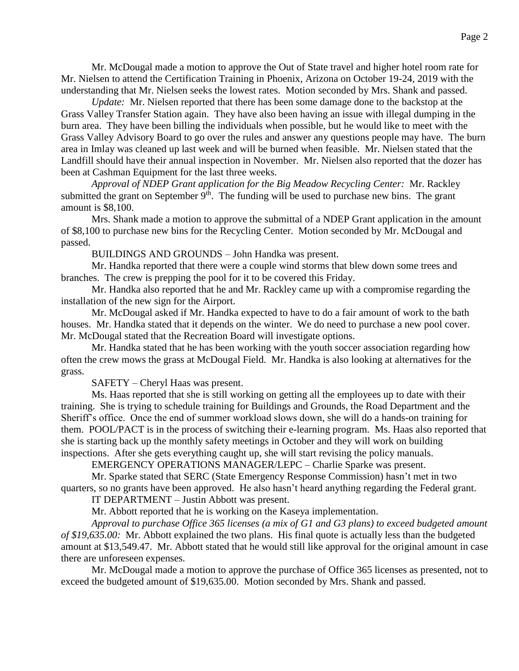Mr. McDougal made a motion to approve the Out of State travel and higher hotel room rate for Mr. Nielsen to attend the Certification Training in Phoenix, Arizona on October 19-24, 2019 with the understanding that Mr. Nielsen seeks the lowest rates. Motion seconded by Mrs. Shank and passed.

*Update:* Mr. Nielsen reported that there has been some damage done to the backstop at the Grass Valley Transfer Station again. They have also been having an issue with illegal dumping in the burn area. They have been billing the individuals when possible, but he would like to meet with the Grass Valley Advisory Board to go over the rules and answer any questions people may have. The burn area in Imlay was cleaned up last week and will be burned when feasible. Mr. Nielsen stated that the Landfill should have their annual inspection in November. Mr. Nielsen also reported that the dozer has been at Cashman Equipment for the last three weeks.

*Approval of NDEP Grant application for the Big Meadow Recycling Center:* Mr. Rackley submitted the grant on September  $9<sup>th</sup>$ . The funding will be used to purchase new bins. The grant amount is \$8,100.

Mrs. Shank made a motion to approve the submittal of a NDEP Grant application in the amount of \$8,100 to purchase new bins for the Recycling Center. Motion seconded by Mr. McDougal and passed.

BUILDINGS AND GROUNDS – John Handka was present.

Mr. Handka reported that there were a couple wind storms that blew down some trees and branches. The crew is prepping the pool for it to be covered this Friday.

Mr. Handka also reported that he and Mr. Rackley came up with a compromise regarding the installation of the new sign for the Airport.

Mr. McDougal asked if Mr. Handka expected to have to do a fair amount of work to the bath houses. Mr. Handka stated that it depends on the winter. We do need to purchase a new pool cover. Mr. McDougal stated that the Recreation Board will investigate options.

Mr. Handka stated that he has been working with the youth soccer association regarding how often the crew mows the grass at McDougal Field. Mr. Handka is also looking at alternatives for the grass.

SAFETY – Cheryl Haas was present.

Ms. Haas reported that she is still working on getting all the employees up to date with their training. She is trying to schedule training for Buildings and Grounds, the Road Department and the Sheriff's office. Once the end of summer workload slows down, she will do a hands-on training for them. POOL/PACT is in the process of switching their e-learning program. Ms. Haas also reported that she is starting back up the monthly safety meetings in October and they will work on building inspections. After she gets everything caught up, she will start revising the policy manuals.

EMERGENCY OPERATIONS MANAGER/LEPC – Charlie Sparke was present.

Mr. Sparke stated that SERC (State Emergency Response Commission) hasn't met in two quarters, so no grants have been approved. He also hasn't heard anything regarding the Federal grant.

IT DEPARTMENT – Justin Abbott was present.

Mr. Abbott reported that he is working on the Kaseya implementation.

*Approval to purchase Office 365 licenses (a mix of G1 and G3 plans) to exceed budgeted amount of \$19,635.00:* Mr. Abbott explained the two plans. His final quote is actually less than the budgeted amount at \$13,549.47. Mr. Abbott stated that he would still like approval for the original amount in case there are unforeseen expenses.

Mr. McDougal made a motion to approve the purchase of Office 365 licenses as presented, not to exceed the budgeted amount of \$19,635.00. Motion seconded by Mrs. Shank and passed.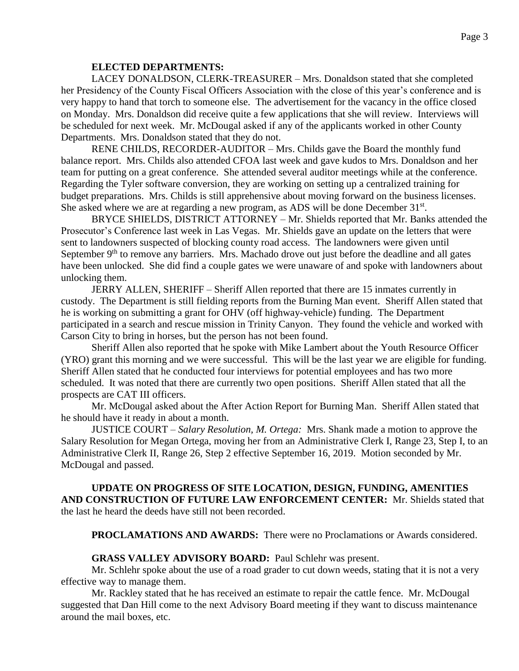## **ELECTED DEPARTMENTS:**

LACEY DONALDSON, CLERK-TREASURER – Mrs. Donaldson stated that she completed her Presidency of the County Fiscal Officers Association with the close of this year's conference and is very happy to hand that torch to someone else. The advertisement for the vacancy in the office closed on Monday. Mrs. Donaldson did receive quite a few applications that she will review. Interviews will be scheduled for next week. Mr. McDougal asked if any of the applicants worked in other County Departments. Mrs. Donaldson stated that they do not.

RENE CHILDS, RECORDER-AUDITOR – Mrs. Childs gave the Board the monthly fund balance report. Mrs. Childs also attended CFOA last week and gave kudos to Mrs. Donaldson and her team for putting on a great conference. She attended several auditor meetings while at the conference. Regarding the Tyler software conversion, they are working on setting up a centralized training for budget preparations. Mrs. Childs is still apprehensive about moving forward on the business licenses. She asked where we are at regarding a new program, as ADS will be done December 31<sup>st</sup>.

BRYCE SHIELDS, DISTRICT ATTORNEY – Mr. Shields reported that Mr. Banks attended the Prosecutor's Conference last week in Las Vegas. Mr. Shields gave an update on the letters that were sent to landowners suspected of blocking county road access. The landowners were given until September 9<sup>th</sup> to remove any barriers. Mrs. Machado drove out just before the deadline and all gates have been unlocked. She did find a couple gates we were unaware of and spoke with landowners about unlocking them.

JERRY ALLEN, SHERIFF – Sheriff Allen reported that there are 15 inmates currently in custody. The Department is still fielding reports from the Burning Man event. Sheriff Allen stated that he is working on submitting a grant for OHV (off highway-vehicle) funding. The Department participated in a search and rescue mission in Trinity Canyon. They found the vehicle and worked with Carson City to bring in horses, but the person has not been found.

Sheriff Allen also reported that he spoke with Mike Lambert about the Youth Resource Officer (YRO) grant this morning and we were successful. This will be the last year we are eligible for funding. Sheriff Allen stated that he conducted four interviews for potential employees and has two more scheduled. It was noted that there are currently two open positions. Sheriff Allen stated that all the prospects are CAT III officers.

Mr. McDougal asked about the After Action Report for Burning Man. Sheriff Allen stated that he should have it ready in about a month.

JUSTICE COURT – *Salary Resolution, M. Ortega:* Mrs. Shank made a motion to approve the Salary Resolution for Megan Ortega, moving her from an Administrative Clerk I, Range 23, Step I, to an Administrative Clerk II, Range 26, Step 2 effective September 16, 2019. Motion seconded by Mr. McDougal and passed.

## **UPDATE ON PROGRESS OF SITE LOCATION, DESIGN, FUNDING, AMENITIES AND CONSTRUCTION OF FUTURE LAW ENFORCEMENT CENTER:** Mr. Shields stated that the last he heard the deeds have still not been recorded.

**PROCLAMATIONS AND AWARDS:** There were no Proclamations or Awards considered.

## **GRASS VALLEY ADVISORY BOARD:** Paul Schlehr was present.

Mr. Schlehr spoke about the use of a road grader to cut down weeds, stating that it is not a very effective way to manage them.

Mr. Rackley stated that he has received an estimate to repair the cattle fence. Mr. McDougal suggested that Dan Hill come to the next Advisory Board meeting if they want to discuss maintenance around the mail boxes, etc.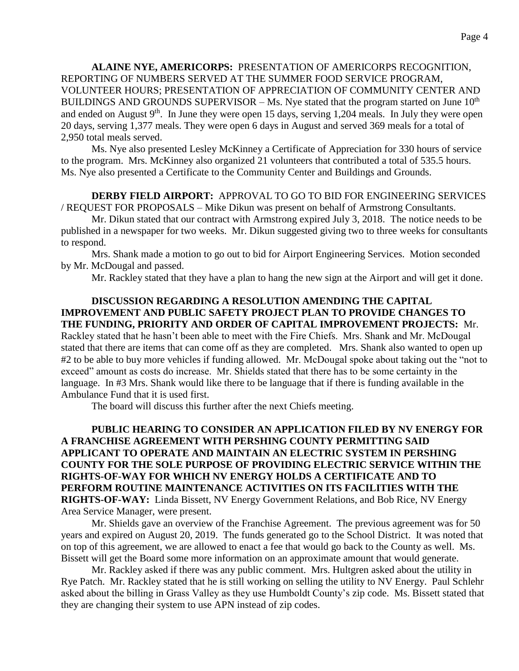**ALAINE NYE, AMERICORPS:** PRESENTATION OF AMERICORPS RECOGNITION, REPORTING OF NUMBERS SERVED AT THE SUMMER FOOD SERVICE PROGRAM, VOLUNTEER HOURS; PRESENTATION OF APPRECIATION OF COMMUNITY CENTER AND BUILDINGS AND GROUNDS SUPERVISOR – Ms. Nye stated that the program started on June  $10^{th}$ and ended on August  $9<sup>th</sup>$ . In June they were open 15 days, serving 1,204 meals. In July they were open 20 days, serving 1,377 meals. They were open 6 days in August and served 369 meals for a total of 2,950 total meals served.

Ms. Nye also presented Lesley McKinney a Certificate of Appreciation for 330 hours of service to the program. Mrs. McKinney also organized 21 volunteers that contributed a total of 535.5 hours. Ms. Nye also presented a Certificate to the Community Center and Buildings and Grounds.

# **DERBY FIELD AIRPORT:** APPROVAL TO GO TO BID FOR ENGINEERING SERVICES / REQUEST FOR PROPOSALS – Mike Dikun was present on behalf of Armstrong Consultants.

Mr. Dikun stated that our contract with Armstrong expired July 3, 2018. The notice needs to be published in a newspaper for two weeks. Mr. Dikun suggested giving two to three weeks for consultants to respond.

Mrs. Shank made a motion to go out to bid for Airport Engineering Services. Motion seconded by Mr. McDougal and passed.

Mr. Rackley stated that they have a plan to hang the new sign at the Airport and will get it done.

# **DISCUSSION REGARDING A RESOLUTION AMENDING THE CAPITAL IMPROVEMENT AND PUBLIC SAFETY PROJECT PLAN TO PROVIDE CHANGES TO THE FUNDING, PRIORITY AND ORDER OF CAPITAL IMPROVEMENT PROJECTS:** Mr.

Rackley stated that he hasn't been able to meet with the Fire Chiefs. Mrs. Shank and Mr. McDougal stated that there are items that can come off as they are completed. Mrs. Shank also wanted to open up #2 to be able to buy more vehicles if funding allowed. Mr. McDougal spoke about taking out the "not to exceed" amount as costs do increase. Mr. Shields stated that there has to be some certainty in the language. In #3 Mrs. Shank would like there to be language that if there is funding available in the Ambulance Fund that it is used first.

The board will discuss this further after the next Chiefs meeting.

# **PUBLIC HEARING TO CONSIDER AN APPLICATION FILED BY NV ENERGY FOR A FRANCHISE AGREEMENT WITH PERSHING COUNTY PERMITTING SAID APPLICANT TO OPERATE AND MAINTAIN AN ELECTRIC SYSTEM IN PERSHING COUNTY FOR THE SOLE PURPOSE OF PROVIDING ELECTRIC SERVICE WITHIN THE RIGHTS-OF-WAY FOR WHICH NV ENERGY HOLDS A CERTIFICATE AND TO PERFORM ROUTINE MAINTENANCE ACTIVITIES ON ITS FACILITIES WITH THE RIGHTS-OF-WAY:** Linda Bissett, NV Energy Government Relations, and Bob Rice, NV Energy Area Service Manager, were present.

Mr. Shields gave an overview of the Franchise Agreement. The previous agreement was for 50 years and expired on August 20, 2019. The funds generated go to the School District. It was noted that on top of this agreement, we are allowed to enact a fee that would go back to the County as well. Ms. Bissett will get the Board some more information on an approximate amount that would generate.

Mr. Rackley asked if there was any public comment. Mrs. Hultgren asked about the utility in Rye Patch. Mr. Rackley stated that he is still working on selling the utility to NV Energy. Paul Schlehr asked about the billing in Grass Valley as they use Humboldt County's zip code. Ms. Bissett stated that they are changing their system to use APN instead of zip codes.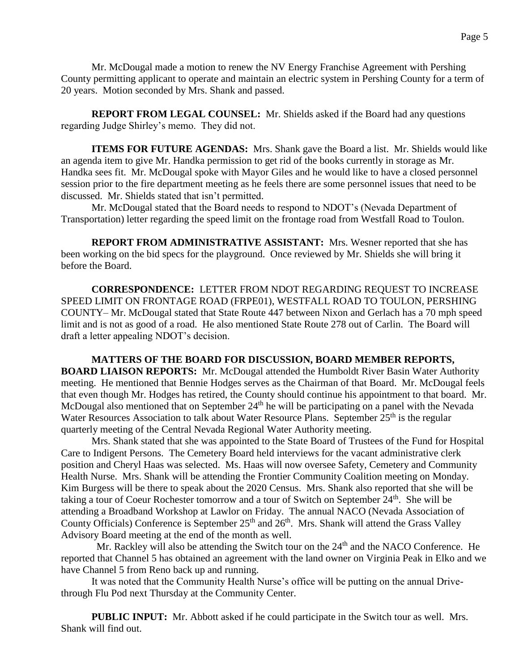Mr. McDougal made a motion to renew the NV Energy Franchise Agreement with Pershing County permitting applicant to operate and maintain an electric system in Pershing County for a term of 20 years. Motion seconded by Mrs. Shank and passed.

**REPORT FROM LEGAL COUNSEL:** Mr. Shields asked if the Board had any questions regarding Judge Shirley's memo. They did not.

**ITEMS FOR FUTURE AGENDAS:** Mrs. Shank gave the Board a list. Mr. Shields would like an agenda item to give Mr. Handka permission to get rid of the books currently in storage as Mr. Handka sees fit. Mr. McDougal spoke with Mayor Giles and he would like to have a closed personnel session prior to the fire department meeting as he feels there are some personnel issues that need to be discussed. Mr. Shields stated that isn't permitted.

Mr. McDougal stated that the Board needs to respond to NDOT's (Nevada Department of Transportation) letter regarding the speed limit on the frontage road from Westfall Road to Toulon.

**REPORT FROM ADMINISTRATIVE ASSISTANT:** Mrs. Wesner reported that she has been working on the bid specs for the playground. Once reviewed by Mr. Shields she will bring it before the Board.

**CORRESPONDENCE:** LETTER FROM NDOT REGARDING REQUEST TO INCREASE SPEED LIMIT ON FRONTAGE ROAD (FRPE01), WESTFALL ROAD TO TOULON, PERSHING COUNTY– Mr. McDougal stated that State Route 447 between Nixon and Gerlach has a 70 mph speed limit and is not as good of a road. He also mentioned State Route 278 out of Carlin. The Board will draft a letter appealing NDOT's decision.

**MATTERS OF THE BOARD FOR DISCUSSION, BOARD MEMBER REPORTS, BOARD LIAISON REPORTS:** Mr. McDougal attended the Humboldt River Basin Water Authority meeting. He mentioned that Bennie Hodges serves as the Chairman of that Board. Mr. McDougal feels that even though Mr. Hodges has retired, the County should continue his appointment to that board. Mr. McDougal also mentioned that on September 24<sup>th</sup> he will be participating on a panel with the Nevada Water Resources Association to talk about Water Resource Plans. September  $25<sup>th</sup>$  is the regular quarterly meeting of the Central Nevada Regional Water Authority meeting.

Mrs. Shank stated that she was appointed to the State Board of Trustees of the Fund for Hospital Care to Indigent Persons. The Cemetery Board held interviews for the vacant administrative clerk position and Cheryl Haas was selected. Ms. Haas will now oversee Safety, Cemetery and Community Health Nurse. Mrs. Shank will be attending the Frontier Community Coalition meeting on Monday. Kim Burgess will be there to speak about the 2020 Census. Mrs. Shank also reported that she will be taking a tour of Coeur Rochester tomorrow and a tour of Switch on September 24<sup>th</sup>. She will be attending a Broadband Workshop at Lawlor on Friday. The annual NACO (Nevada Association of County Officials) Conference is September  $25<sup>th</sup>$  and  $26<sup>th</sup>$ . Mrs. Shank will attend the Grass Valley Advisory Board meeting at the end of the month as well.

Mr. Rackley will also be attending the Switch tour on the 24<sup>th</sup> and the NACO Conference. He reported that Channel 5 has obtained an agreement with the land owner on Virginia Peak in Elko and we have Channel 5 from Reno back up and running.

It was noted that the Community Health Nurse's office will be putting on the annual Drivethrough Flu Pod next Thursday at the Community Center.

**PUBLIC INPUT:** Mr. Abbott asked if he could participate in the Switch tour as well. Mrs. Shank will find out.